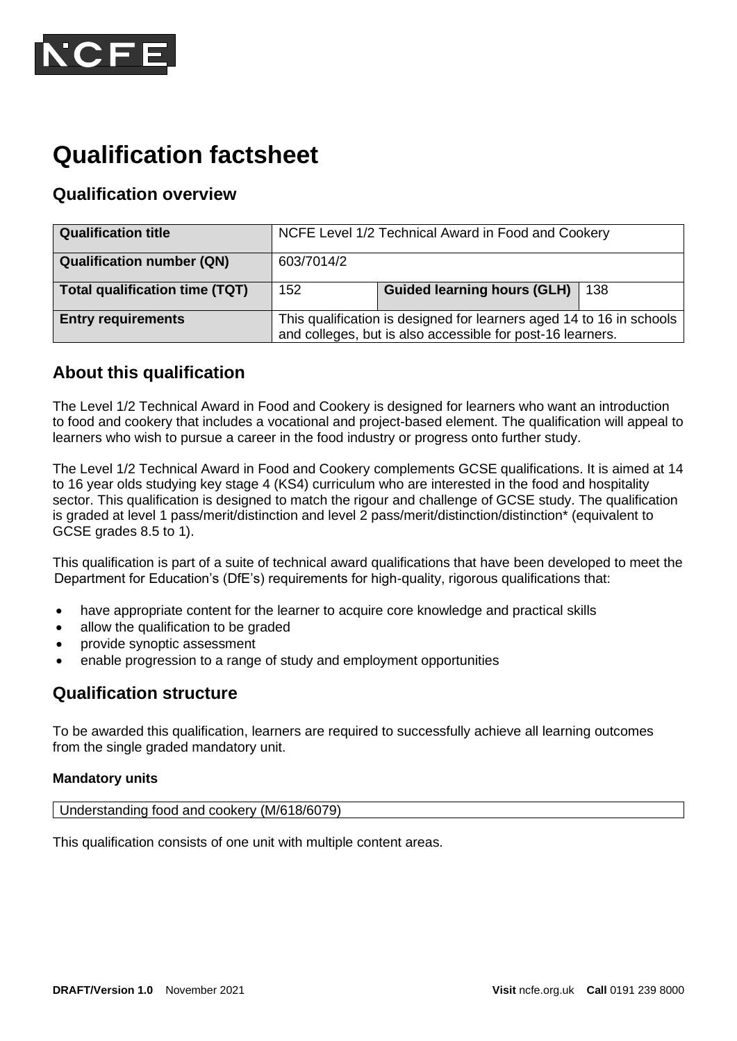

# **Qualification factsheet**

# **Qualification overview**

| <b>Qualification title</b>       | NCFE Level 1/2 Technical Award in Food and Cookery                                                                                 |                             |     |
|----------------------------------|------------------------------------------------------------------------------------------------------------------------------------|-----------------------------|-----|
| <b>Qualification number (QN)</b> | 603/7014/2                                                                                                                         |                             |     |
| Total qualification time (TQT)   | 152                                                                                                                                | Guided learning hours (GLH) | 138 |
| <b>Entry requirements</b>        | This qualification is designed for learners aged 14 to 16 in schools<br>and colleges, but is also accessible for post-16 learners. |                             |     |

## **About this qualification**

The Level 1/2 Technical Award in Food and Cookery is designed for learners who want an introduction to food and cookery that includes a vocational and project-based element. The qualification will appeal to learners who wish to pursue a career in the food industry or progress onto further study.

The Level 1/2 Technical Award in Food and Cookery complements GCSE qualifications. It is aimed at 14 to 16 year olds studying key stage 4 (KS4) curriculum who are interested in the food and hospitality sector. This qualification is designed to match the rigour and challenge of GCSE study. The qualification is graded at level 1 pass/merit/distinction and level 2 pass/merit/distinction/distinction\* (equivalent to GCSE grades 8.5 to 1).

This qualification is part of a suite of technical award qualifications that have been developed to meet the Department for Education's (DfE's) requirements for high-quality, rigorous qualifications that:

- have appropriate content for the learner to acquire core knowledge and practical skills
- allow the qualification to be graded
- provide synoptic assessment
- enable progression to a range of study and employment opportunities

## **Qualification structure**

To be awarded this qualification, learners are required to successfully achieve all learning outcomes from the single graded mandatory unit.

#### **Mandatory units**

Understanding food and cookery (M/618/6079)

This qualification consists of one unit with multiple content areas.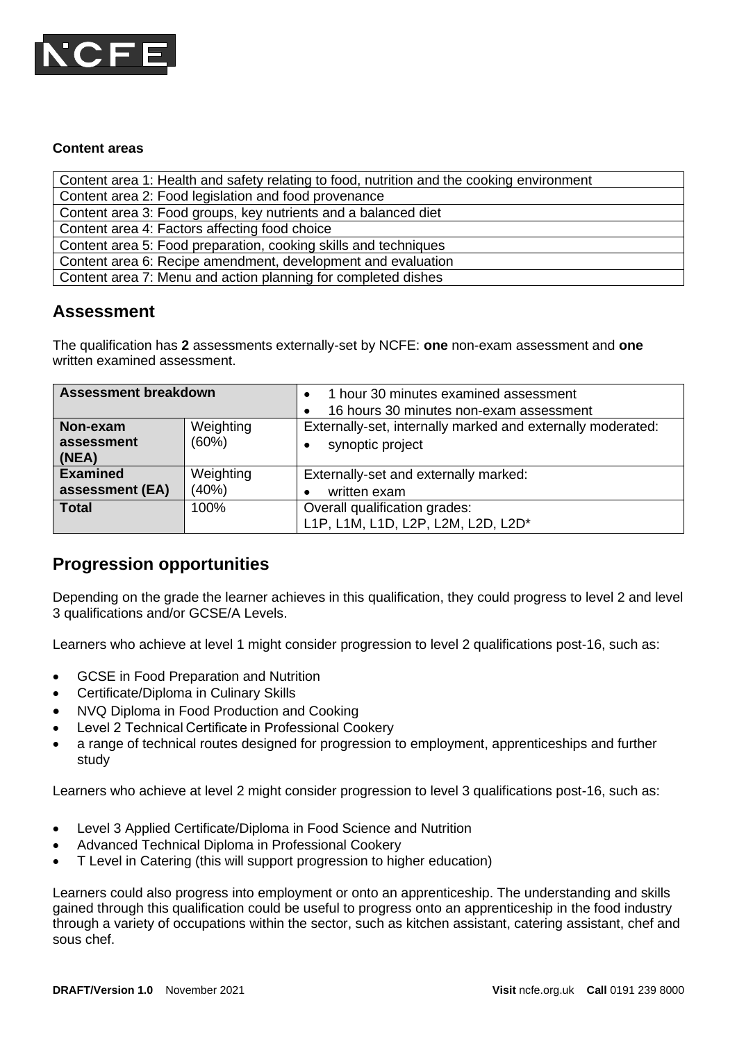

#### **Content areas**

Content area 1: Health and safety relating to food, nutrition and the cooking environment

Content area 2: Food legislation and food provenance

Content area 3: Food groups, key nutrients and a balanced diet

Content area 4: Factors affecting food choice

Content area 5: Food preparation, cooking skills and techniques

Content area 6: Recipe amendment, development and evaluation

Content area 7: Menu and action planning for completed dishes

## **Assessment**

The qualification has **2** assessments externally-set by NCFE: **one** non-exam assessment and **one** written examined assessment.

| <b>Assessment breakdown</b>        |                    | 1 hour 30 minutes examined assessment<br>16 hours 30 minutes non-exam assessment |  |
|------------------------------------|--------------------|----------------------------------------------------------------------------------|--|
| Non-exam<br>assessment<br>(NEA)    | Weighting<br>(60%) | Externally-set, internally marked and externally moderated:<br>synoptic project  |  |
| <b>Examined</b><br>assessment (EA) | Weighting<br>(40%) | Externally-set and externally marked:<br>written exam                            |  |
| <b>Total</b>                       | 100%               | Overall qualification grades:<br>L1P, L1M, L1D, L2P, L2M, L2D, L2D*              |  |

## **Progression opportunities**

Depending on the grade the learner achieves in this qualification, they could progress to level 2 and level 3 qualifications and/or GCSE/A Levels.

Learners who achieve at level 1 might consider progression to level 2 qualifications post-16, such as:

- GCSE in Food Preparation and Nutrition
- Certificate/Diploma in Culinary Skills
- NVQ Diploma in Food Production and Cooking
- Level 2 Technical Certificate in Professional Cookery
- a range of technical routes designed for progression to employment, apprenticeships and further study

Learners who achieve at level 2 might consider progression to level 3 qualifications post-16, such as:

- Level 3 Applied Certificate/Diploma in Food Science and Nutrition
- Advanced Technical Diploma in Professional Cookery
- T Level in Catering (this will support progression to higher education)

Learners could also progress into employment or onto an apprenticeship. The understanding and skills gained through this qualification could be useful to progress onto an apprenticeship in the food industry through a variety of occupations within the sector, such as kitchen assistant, catering assistant, chef and sous chef.